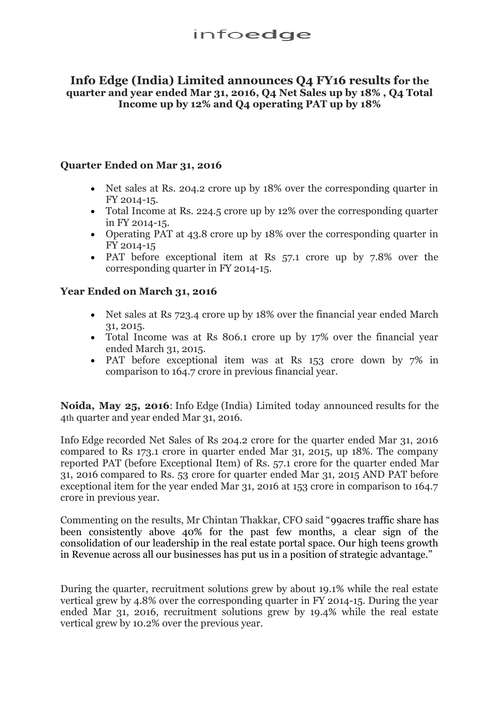## **Info Edge (India) Limited announces Q4 FY16 results for the quarter and year ended Mar 31, 2016, Q4 Net Sales up by 18% , Q4 Total Income up by 12% and Q4 operating PAT up by 18%**

#### **Quarter Ended on Mar 31, 2016**

- Net sales at Rs. 204.2 crore up by 18% over the corresponding quarter in FY 2014-15.
- Total Income at Rs. 224.5 crore up by 12% over the corresponding quarter in FY 2014-15.
- Operating PAT at 43.8 crore up by 18% over the corresponding quarter in FY 2014-15
- PAT before exceptional item at Rs 57.1 crore up by 7.8% over the corresponding quarter in FY 2014-15.

### **Year Ended on March 31, 2016**

- Net sales at Rs 723.4 crore up by 18% over the financial year ended March 31, 2015.
- Total Income was at Rs 806.1 crore up by 17% over the financial year ended March 31, 2015.
- PAT before exceptional item was at Rs 153 crore down by 7% in comparison to 164.7 crore in previous financial year.

**Noida, May 25, 2016**: Info Edge (India) Limited today announced results for the 4th quarter and year ended Mar 31, 2016.

Info Edge recorded Net Sales of Rs 204.2 crore for the quarter ended Mar 31, 2016 compared to Rs 173.1 crore in quarter ended Mar 31, 2015, up 18%. The company reported PAT (before Exceptional Item) of Rs. 57.1 crore for the quarter ended Mar 31, 2016 compared to Rs. 53 crore for quarter ended Mar 31, 2015 AND PAT before exceptional item for the year ended Mar 31, 2016 at 153 crore in comparison to 164.7 crore in previous year.

Commenting on the results, Mr Chintan Thakkar, CFO said "99acres traffic share has been consistently above 40% for the past few months, a clear sign of the consolidation of our leadership in the real estate portal space. Our high teens growth in Revenue across all our businesses has put us in a position of strategic advantage."

During the quarter, recruitment solutions grew by about 19.1% while the real estate vertical grew by 4.8% over the corresponding quarter in FY 2014-15. During the year ended Mar 31, 2016, recruitment solutions grew by 19.4% while the real estate vertical grew by 10.2% over the previous year.